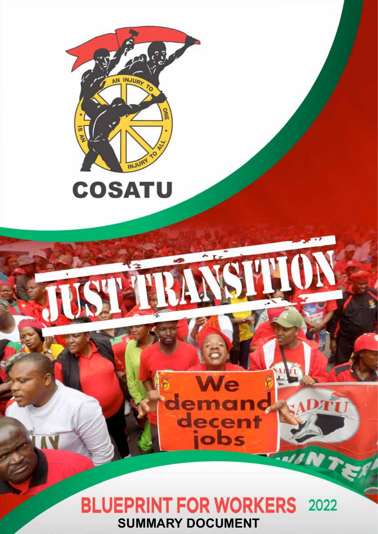



# **BLUEPRINT FOR WORKERS** 2022 **SUMMARY DOCUMENT**

ecer<br>jobs

 $T$ 

Fald N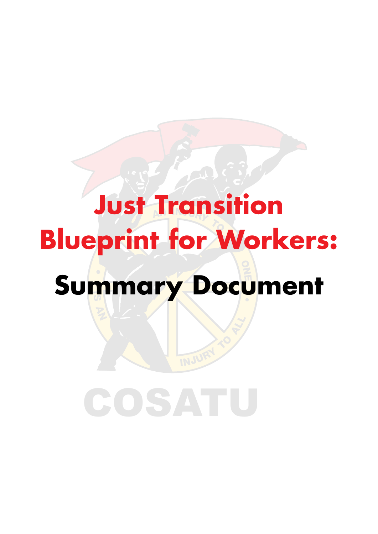# **Just Transition Blueprint for Workers: Summary Document**

INJUR

# COSATU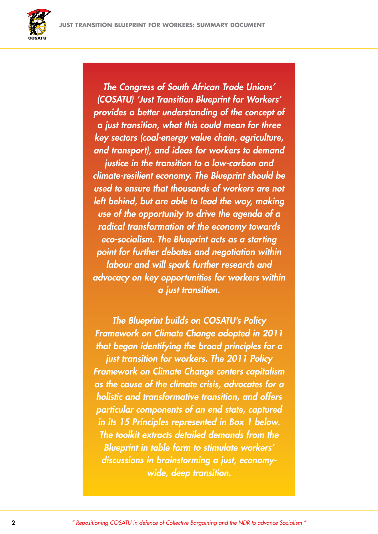

*The Congress of South African Trade Unions' (COSATU) 'Just Transition Blueprint for Workers' provides a better understanding of the concept of a just transition, what this could mean for three key sectors (coal-energy value chain, agriculture, and transport), and ideas for workers to demand* 

*justice in the transition to a low-carbon and climate-resilient economy. The Blueprint should be used to ensure that thousands of workers are not left behind, but are able to lead the way, making use of the opportunity to drive the agenda of a radical transformation of the economy towards eco-socialism. The Blueprint acts as a starting point for further debates and negotiation within labour and will spark further research and advocacy on key opportunities for workers within a just transition.*

*The Blueprint builds on COSATU's Policy Framework on Climate Change adopted in 2011 that began identifying the broad principles for a just transition for workers. The 2011 Policy Framework on Climate Change centers capitalism as the cause of the climate crisis, advocates for a holistic and transformative transition, and offers particular components of an end state, captured in its 15 Principles represented in Box 1 below. The toolkit extracts detailed demands from the Blueprint in table form to stimulate workers' discussions in brainstorming a just, economywide, deep transition.*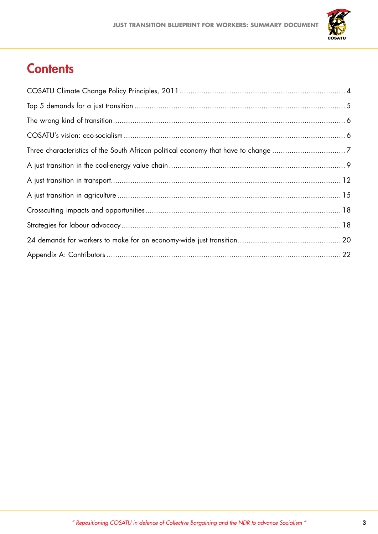

# **Contents**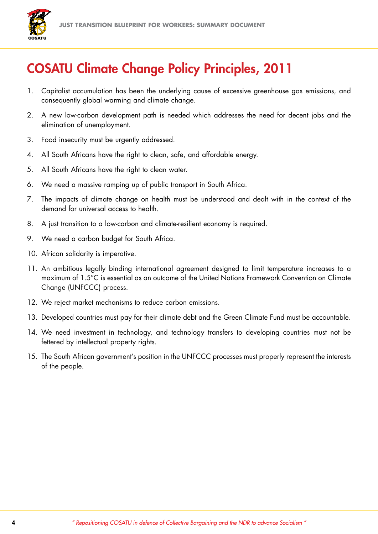

## COSATU Climate Change Policy Principles, 2011

- 1. Capitalist accumulation has been the underlying cause of excessive greenhouse gas emissions, and consequently global warming and climate change.
- 2. A new low-carbon development path is needed which addresses the need for decent jobs and the elimination of unemployment.
- 3. Food insecurity must be urgently addressed.
- 4. All South Africans have the right to clean, safe, and affordable energy.
- 5. All South Africans have the right to clean water.
- 6. We need a massive ramping up of public transport in South Africa.
- 7. The impacts of climate change on health must be understood and dealt with in the context of the demand for universal access to health.
- 8. A just transition to a low-carbon and climate-resilient economy is required.
- 9. We need a carbon budget for South Africa.
- 10. African solidarity is imperative.
- 11. An ambitious legally binding international agreement designed to limit temperature increases to a maximum of 1.5°C is essential as an outcome of the United Nations Framework Convention on Climate Change (UNFCCC) process.
- 12. We reject market mechanisms to reduce carbon emissions.
- 13. Developed countries must pay for their climate debt and the Green Climate Fund must be accountable.
- 14. We need investment in technology, and technology transfers to developing countries must not be fettered by intellectual property rights.
- 15. The South African government's position in the UNFCCC processes must properly represent the interests of the people.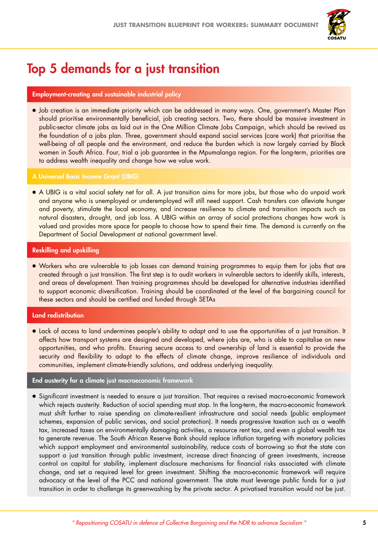

## Top 5 demands for a just transition

#### Employment-creating and sustainable industrial policy

· Job creation is an immediate priority which can be addressed in many ways. One, government's Master Plan should prioritise environmentally beneficial, job creating sectors. Two, there should be massive investment in public-sector climate jobs as laid out in the One Million Climate Jobs Campaign, which should be revived as the foundation of a jobs plan. Three, government should expand social services (care work) that prioritise the well-being of all people and the environment, and reduce the burden which is now largely carried by Black women in South Africa. Four, trial a job guarantee in the Mpumalanga region. For the long-term, priorities are to address wealth inequality and change how we value work.

#### A Universal Basic Income Grant (UBIG)

c A UBIG is a vital social safety net for all. A just transition aims for more jobs, but those who do unpaid work and anyone who is unemployed or underemployed will still need support. Cash transfers can alleviate hunger and poverty, stimulate the local economy, and increase resilience to climate and transition impacts such as natural disasters, drought, and job loss. A UBIG within an array of social protections changes how work is valued and provides more space for people to choose how to spend their time. The demand is currently on the Department of Social Development at national government level.

#### Reskilling and upskilling

• Workers who are vulnerable to job losses can demand training programmes to equip them for jobs that are created through a just transition. The first step is to audit workers in vulnerable sectors to identify skills, interests, and areas of development. Then training programmes should be developed for alternative industries identified to support economic diversification. Training should be coordinated at the level of the bargaining council for these sectors and should be certified and funded through SETAs

#### Land redistribution

• Lack of access to land undermines people's ability to adapt and to use the opportunities of a just transition. It affects how transport systems are designed and developed, where jobs are, who is able to capitalise on new opportunities, and who profits. Ensuring secure access to and ownership of land is essential to provide the security and flexibility to adapt to the effects of climate change, improve resilience of individuals and communities, implement climate-friendly solutions, and address underlying inequality.

#### End austerity for a climate just macroeconomic framework

c Significant investment is needed to ensure a just transition. That requires a revised macro-economic framework which rejects austerity. Reduction of social spending must stop. In the long-term, the macro-economic framework must shift further to raise spending on climate-resilient infrastructure and social needs (public employment schemes, expansion of public services, and social protection). It needs progressive taxation such as a wealth tax, increased taxes on environmentally damaging activities, a resource rent tax, and even a global wealth tax to generate revenue. The South African Reserve Bank should replace inflation targeting with monetary policies which support employment and environmental sustainability, reduce costs of borrowing so that the state can support a just transition through public investment, increase direct financing of green investments, increase control on capital for stability, implement disclosure mechanisms for financial risks associated with climate change, and set a required level for green investment. Shifting the macro-economic framework will require advocacy at the level of the PCC and national government. The state must leverage public funds for a just transition in order to challenge its greenwashing by the private sector. A privatised transition would not be just.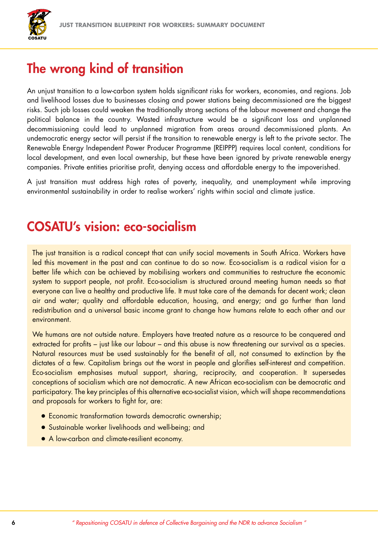

## The wrong kind of transition

An unjust transition to a low-carbon system holds significant risks for workers, economies, and regions. Job and livelihood losses due to businesses closing and power stations being decommissioned are the biggest risks. Such job losses could weaken the traditionally strong sections of the labour movement and change the political balance in the country. Wasted infrastructure would be a significant loss and unplanned decommissioning could lead to unplanned migration from areas around decommissioned plants. An undemocratic energy sector will persist if the transition to renewable energy is left to the private sector. The Renewable Energy Independent Power Producer Programme (REIPPP) requires local content, conditions for local development, and even local ownership, but these have been ignored by private renewable energy companies. Private entities prioritise profit, denying access and affordable energy to the impoverished.

A just transition must address high rates of poverty, inequality, and unemployment while improving environmental sustainability in order to realise workers' rights within social and climate justice.

#### COSATU's vision: eco-socialism

The just transition is a radical concept that can unify social movements in South Africa. Workers have led this movement in the past and can continue to do so now. Eco-socialism is a radical vision for a better life which can be achieved by mobilising workers and communities to restructure the economic system to support people, not profit. Eco-socialism is structured around meeting human needs so that everyone can live a healthy and productive life. It must take care of the demands for decent work; clean air and water; quality and affordable education, housing, and energy; and go further than land redistribution and a universal basic income grant to change how humans relate to each other and our environment.

We humans are not outside nature. Employers have treated nature as a resource to be conquered and extracted for profits – just like our labour – and this abuse is now threatening our survival as a species. Natural resources must be used sustainably for the benefit of all, not consumed to extinction by the dictates of a few. Capitalism brings out the worst in people and glorifies self-interest and competition. Eco-socialism emphasises mutual support, sharing, reciprocity, and cooperation. It supersedes conceptions of socialism which are not democratic. A new African eco-socialism can be democratic and participatory. The key principles of this alternative eco-socialist vision, which will shape recommendations and proposals for workers to fight for, are:

- **Economic transformation towards democratic ownership;**
- **•** Sustainable worker livelihoods and well-being; and
- A low-carbon and climate-resilient economy.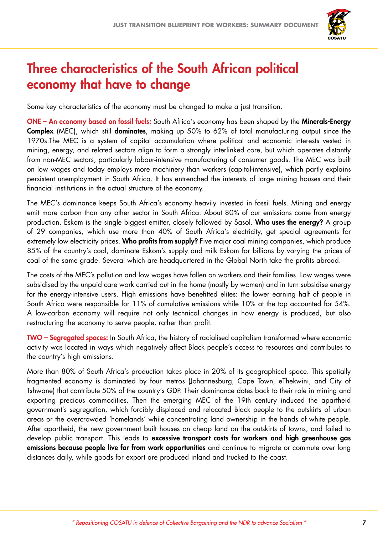

## Three characteristics of the South African political economy that have to change

Some key characteristics of the economy must be changed to make a just transition.

ONE – An economy based on fossil fuels: South Africa's economy has been shaped by the Minerals-Energy Complex (MEC), which still dominates, making up 50% to 62% of total manufacturing output since the 1970s.The MEC is a system of capital accumulation where political and economic interests vested in mining, energy, and related sectors align to form a strongly interlinked core, but which operates distantly from non-MEC sectors, particularly labour-intensive manufacturing of consumer goods. The MEC was built on low wages and today employs more machinery than workers (capital-intensive), which partly explains persistent unemployment in South Africa. It has entrenched the interests of large mining houses and their financial institutions in the actual structure of the economy.

The MEC's dominance keeps South Africa's economy heavily invested in fossil fuels. Mining and energy emit more carbon than any other sector in South Africa. About 80% of our emissions come from energy production. Eskom is the single biggest emitter, closely followed by Sasol. Who uses the energy? A group of 29 companies, which use more than 40% of South Africa's electricity, get special agreements for extremely low electricity prices. Who profits from supply? Five major coal mining companies, which produce 85% of the country's coal, dominate Eskom's supply and milk Eskom for billions by varying the prices of coal of the same grade. Several which are headquartered in the Global North take the profits abroad.

The costs of the MEC's pollution and low wages have fallen on workers and their families. Low wages were subsidised by the unpaid care work carried out in the home (mostly by women) and in turn subsidise energy for the energy-intensive users. High emissions have benefitted elites: the lower earning half of people in South Africa were responsible for 11% of cumulative emissions while 10% at the top accounted for 54%. A low-carbon economy will require not only technical changes in how energy is produced, but also restructuring the economy to serve people, rather than profit.

TWO – Segregated spaces: In South Africa, the history of racialised capitalism transformed where economic activity was located in ways which negatively affect Black people's access to resources and contributes to the country's high emissions.

More than 80% of South Africa's production takes place in 20% of its geographical space. This spatially fragmented economy is dominated by four metros (Johannesburg, Cape Town, eThekwini, and City of Tshwane) that contribute 50% of the country's GDP. Their dominance dates back to their role in mining and exporting precious commodities. Then the emerging MEC of the 19th century induced the apartheid government's segregation, which forcibly displaced and relocated Black people to the outskirts of urban areas or the overcrowded 'homelands' while concentrating land ownership in the hands of white people. After apartheid, the new government built houses on cheap land on the outskirts of towns, and failed to develop public transport. This leads to excessive transport costs for workers and high greenhouse gas emissions because people live far from work opportunities and continue to migrate or commute over long distances daily, while goods for export are produced inland and trucked to the coast.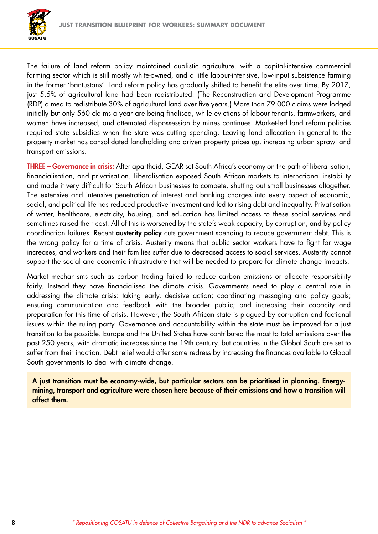

The failure of land reform policy maintained dualistic agriculture, with a capital-intensive commercial farming sector which is still mostly white-owned, and a little labour-intensive, low-input subsistence farming in the former 'bantustans'. Land reform policy has gradually shifted to benefit the elite over time. By 2017, just 5.5% of agricultural land had been redistributed. (The Reconstruction and Development Programme (RDP) aimed to redistribute 30% of agricultural land over five years.) More than 79 000 claims were lodged initially but only 560 claims a year are being finalised, while evictions of labour tenants, farmworkers, and women have increased, and attempted dispossession by mines continues. Market-led land reform policies required state subsidies when the state was cutting spending. Leaving land allocation in general to the property market has consolidated landholding and driven property prices up, increasing urban sprawl and transport emissions.

THREE – Governance in crisis: After apartheid, GEAR set South Africa's economy on the path of liberalisation, financialisation, and privatisation. Liberalisation exposed South African markets to international instability and made it very difficult for South African businesses to compete, shutting out small businesses altogether. The extensive and intensive penetration of interest and banking charges into every aspect of economic, social, and political life has reduced productive investment and led to rising debt and inequality. Privatisation of water, healthcare, electricity, housing, and education has limited access to these social services and sometimes raised their cost. All of this is worsened by the state's weak capacity, by corruption, and by policy coordination failures. Recent **austerity policy** cuts government spending to reduce government debt. This is the wrong policy for a time of crisis. Austerity means that public sector workers have to fight for wage increases, and workers and their families suffer due to decreased access to social services. Austerity cannot support the social and economic infrastructure that will be needed to prepare for climate change impacts.

Market mechanisms such as carbon trading failed to reduce carbon emissions or allocate responsibility fairly. Instead they have financialised the climate crisis. Governments need to play a central role in addressing the climate crisis: taking early, decisive action; coordinating messaging and policy goals; ensuring communication and feedback with the broader public; and increasing their capacity and preparation for this time of crisis. However, the South African state is plagued by corruption and factional issues within the ruling party. Governance and accountability within the state must be improved for a just transition to be possible. Europe and the United States have contributed the most to total emissions over the past 250 years, with dramatic increases since the 19th century, but countries in the Global South are set to suffer from their inaction. Debt relief would offer some redress by increasing the finances available to Global South governments to deal with climate change.

A just transition must be economy-wide, but particular sectors can be prioritised in planning. Energymining, transport and agriculture were chosen here because of their emissions and how a transition will affect them.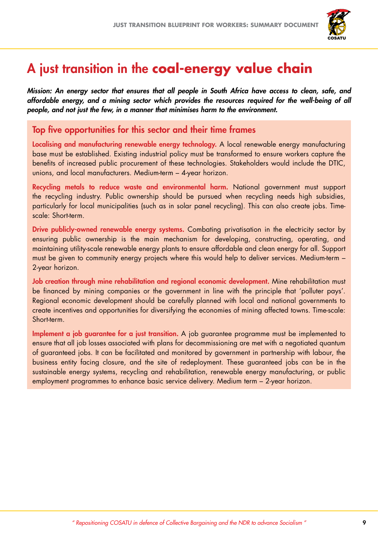

## A just transition in the **coal-energy value chain**

*Mission: An energy sector that ensures that all people in South Africa have access to clean, safe, and affordable energy, and a mining sector which provides the resources required for the well-being of all people, and not just the few, in a manner that minimises harm to the environment.*

#### Top five opportunities for this sector and their time frames

Localising and manufacturing renewable energy technology. A local renewable energy manufacturing base must be established. Existing industrial policy must be transformed to ensure workers capture the benefits of increased public procurement of these technologies. Stakeholders would include the DTIC, unions, and local manufacturers. Medium-term – 4-year horizon.

Recycling metals to reduce waste and environmental harm. National government must support the recycling industry. Public ownership should be pursued when recycling needs high subsidies, particularly for local municipalities (such as in solar panel recycling). This can also create jobs. Timescale: Short-term.

Drive publicly-owned renewable energy systems. Combating privatisation in the electricity sector by ensuring public ownership is the main mechanism for developing, constructing, operating, and maintaining utility-scale renewable energy plants to ensure affordable and clean energy for all. Support must be given to community energy projects where this would help to deliver services. Medium-term – 2-year horizon.

Job creation through mine rehabilitation and regional economic development. Mine rehabilitation must be financed by mining companies or the government in line with the principle that 'polluter pays'. Regional economic development should be carefully planned with local and national governments to create incentives and opportunities for diversifying the economies of mining affected towns. Time-scale: Short-term.

Implement a job guarantee for a just transition. A job guarantee programme must be implemented to ensure that all job losses associated with plans for decommissioning are met with a negotiated quantum of guaranteed jobs. It can be facilitated and monitored by government in partnership with labour, the business entity facing closure, and the site of redeployment. These guaranteed jobs can be in the sustainable energy systems, recycling and rehabilitation, renewable energy manufacturing, or public employment programmes to enhance basic service delivery. Medium term – 2-year horizon.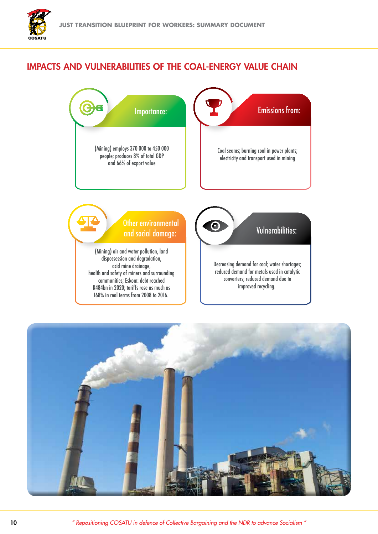#### Impacts and vulnerabilities of the coal-energy value chain



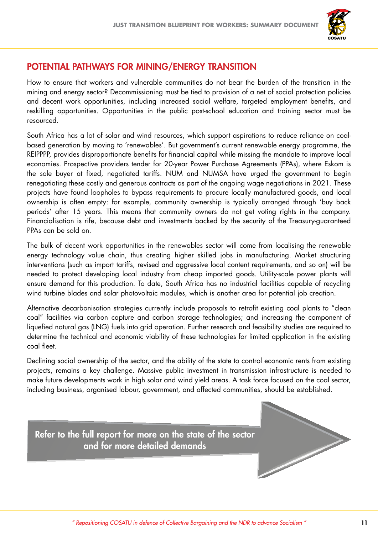

#### Potential pathways for mining/energy transition

How to ensure that workers and vulnerable communities do not bear the burden of the transition in the mining and energy sector? Decommissioning must be tied to provision of a net of social protection policies and decent work opportunities, including increased social welfare, targeted employment benefits, and reskilling opportunities. Opportunities in the public post-school education and training sector must be resourced.

South Africa has a lot of solar and wind resources, which support aspirations to reduce reliance on coalbased generation by moving to 'renewables'. But government's current renewable energy programme, the REIPPPP, provides disproportionate benefits for financial capital while missing the mandate to improve local economies. Prospective providers tender for 20-year Power Purchase Agreements (PPAs), where Eskom is the sole buyer at fixed, negotiated tariffs. NUM and NUMSA have urged the government to begin renegotiating these costly and generous contracts as part of the ongoing wage negotiations in 2021. These projects have found loopholes to bypass requirements to procure locally manufactured goods, and local ownership is often empty: for example, community ownership is typically arranged through 'buy back periods' after 15 years. This means that community owners do not get voting rights in the company. Financialisation is rife, because debt and investments backed by the security of the Treasury-guaranteed PPAs can be sold on.

The bulk of decent work opportunities in the renewables sector will come from localising the renewable energy technology value chain, thus creating higher skilled jobs in manufacturing. Market structuring interventions (such as import tariffs, revised and aggressive local content requirements, and so on) will be needed to protect developing local industry from cheap imported goods. Utility-scale power plants will ensure demand for this production. To date, South Africa has no industrial facilities capable of recycling wind turbine blades and solar photovoltaic modules, which is another area for potential job creation.

Alternative decarbonisation strategies currently include proposals to retrofit existing coal plants to "clean coal" facilities via carbon capture and carbon storage technologies; and increasing the component of liquefied natural gas (LNG) fuels into grid operation. Further research and feasibility studies are required to determine the technical and economic viability of these technologies for limited application in the existing coal fleet.

Declining social ownership of the sector, and the ability of the state to control economic rents from existing projects, remains a key challenge. Massive public investment in transmission infrastructure is needed to make future developments work in high solar and wind yield areas. A task force focused on the coal sector, including business, organised labour, government, and affected communities, should be established.

Refer to the full report for more on the state of the sector and for more detailed demands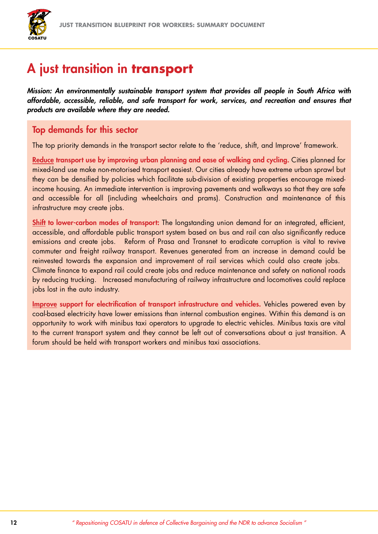

## A just transition in **transport**

*Mission: An environmentally sustainable transport system that provides all people in South Africa with affordable, accessible, reliable, and safe transport for work, services, and recreation and ensures that products are available where they are needed.*

#### Top demands for this sector

The top priority demands in the transport sector relate to the 'reduce, shift, and Improve' framework.

Reduce transport use by improving urban planning and ease of walking and cycling. Cities planned for mixed-land use make non-motorised transport easiest. Our cities already have extreme urban sprawl but they can be densified by policies which facilitate sub-division of existing properties encourage mixedincome housing. An immediate intervention is improving pavements and walkways so that they are safe and accessible for all (including wheelchairs and prams). Construction and maintenance of this infrastructure may create jobs.

Shift to lower-carbon modes of transport: The longstanding union demand for an integrated, efficient, accessible, and affordable public transport system based on bus and rail can also significantly reduce emissions and create jobs. Reform of Prasa and Transnet to eradicate corruption is vital to revive commuter and freight railway transport. Revenues generated from an increase in demand could be reinvested towards the expansion and improvement of rail services which could also create jobs. Climate finance to expand rail could create jobs and reduce maintenance and safety on national roads by reducing trucking. Increased manufacturing of railway infrastructure and locomotives could replace jobs lost in the auto industry.

Improve support for electrification of transport infrastructure and vehicles. Vehicles powered even by coal-based electricity have lower emissions than internal combustion engines. Within this demand is an opportunity to work with minibus taxi operators to upgrade to electric vehicles. Minibus taxis are vital to the current transport system and they cannot be left out of conversations about a just transition. A forum should be held with transport workers and minibus taxi associations.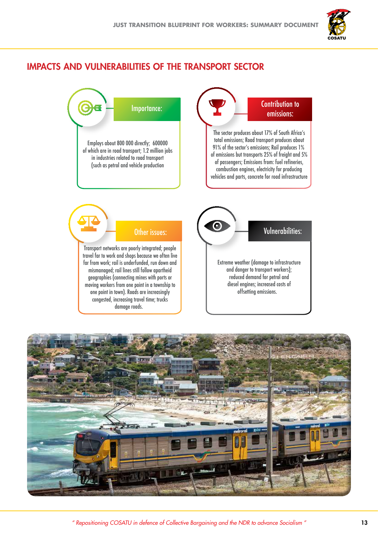

#### Impacts and vulnerabilities of the transport sector



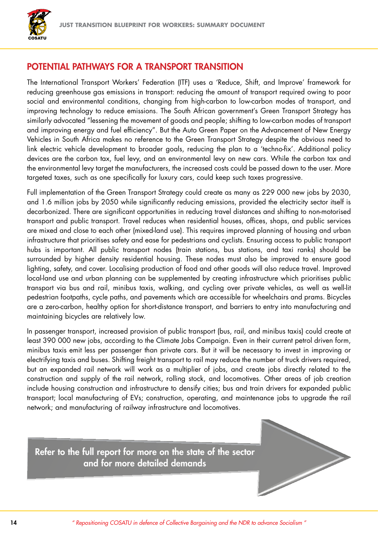

#### Potential pathways for a transport transition

The International Transport Workers' Federation (ITF) uses a 'Reduce, Shift, and Improve' framework for reducing greenhouse gas emissions in transport: reducing the amount of transport required owing to poor social and environmental conditions, changing from high-carbon to low-carbon modes of transport, and improving technology to reduce emissions. The South African government's Green Transport Strategy has similarly advocated "lessening the movement of goods and people; shifting to low-carbon modes of transport and improving energy and fuel efficiency". But the Auto Green Paper on the Advancement of New Energy Vehicles in South Africa makes no reference to the Green Transport Strategy despite the obvious need to link electric vehicle development to broader goals, reducing the plan to a 'techno-fix'. Additional policy devices are the carbon tax, fuel levy, and an environmental levy on new cars. While the carbon tax and the environmental levy target the manufacturers, the increased costs could be passed down to the user. More targeted taxes, such as one specifically for luxury cars, could keep such taxes progressive.

Full implementation of the Green Transport Strategy could create as many as 229 000 new jobs by 2030, and 1.6 million jobs by 2050 while significantly reducing emissions, provided the electricity sector itself is decarbonized. There are significant opportunities in reducing travel distances and shifting to non-motorised transport and public transport. Travel reduces when residential houses, offices, shops, and public services are mixed and close to each other (mixed-land use). This requires improved planning of housing and urban infrastructure that prioritises safety and ease for pedestrians and cyclists. Ensuring access to public transport hubs is important. All public transport nodes (train stations, bus stations, and taxi ranks) should be surrounded by higher density residential housing. These nodes must also be improved to ensure good lighting, safety, and cover. Localising production of food and other goods will also reduce travel. Improved local-land use and urban planning can be supplemented by creating infrastructure which prioritises public transport via bus and rail, minibus taxis, walking, and cycling over private vehicles, as well as well-lit pedestrian footpaths, cycle paths, and pavements which are accessible for wheelchairs and prams. Bicycles are a zero-carbon, healthy option for short-distance transport, and barriers to entry into manufacturing and maintaining bicycles are relatively low.

In passenger transport, increased provision of public transport (bus, rail, and minibus taxis) could create at least 390 000 new jobs, according to the Climate Jobs Campaign. Even in their current petrol driven form, minibus taxis emit less per passenger than private cars. But it will be necessary to invest in improving or electrifying taxis and buses. Shifting freight transport to rail may reduce the number of truck drivers required, but an expanded rail network will work as a multiplier of jobs, and create jobs directly related to the construction and supply of the rail network, rolling stock, and locomotives. Other areas of job creation include housing construction and infrastructure to densify cities; bus and train drivers for expanded public transport; local manufacturing of EVs; construction, operating, and maintenance jobs to upgrade the rail network; and manufacturing of railway infrastructure and locomotives.

Refer to the full report for more on the state of the sector and for more detailed demands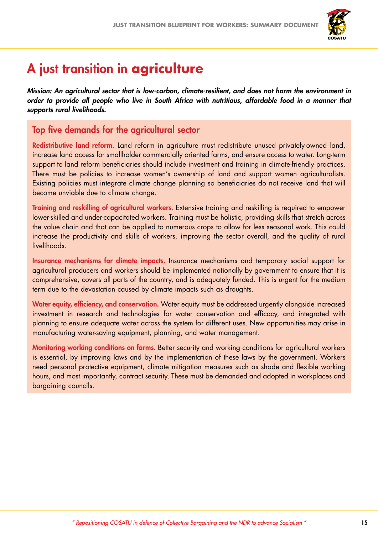

## A just transition in **agriculture**

*Mission: An agricultural sector that is low-carbon, climate-resilient, and does not harm the environment in order to provide all people who live in South Africa with nutritious, affordable food in a manner that supports rural livelihoods.*

#### Top five demands for the agricultural sector

Redistributive land reform. Land reform in agriculture must redistribute unused privately-owned land, increase land access for smallholder commercially oriented farms, and ensure access to water. Long-term support to land reform beneficiaries should include investment and training in climate-friendly practices. There must be policies to increase women's ownership of land and support women agriculturalists. Existing policies must integrate climate change planning so beneficiaries do not receive land that will become unviable due to climate change.

Training and reskilling of agricultural workers. Extensive training and reskilling is required to empower lower-skilled and under-capacitated workers. Training must be holistic, providing skills that stretch across the value chain and that can be applied to numerous crops to allow for less seasonal work. This could increase the productivity and skills of workers, improving the sector overall, and the quality of rural livelihoods.

Insurance mechanisms for climate impacts. Insurance mechanisms and temporary social support for agricultural producers and workers should be implemented nationally by government to ensure that it is comprehensive, covers all parts of the country, and is adequately funded. This is urgent for the medium term due to the devastation caused by climate impacts such as droughts.

Water equity, efficiency, and conservation. Water equity must be addressed urgently alongside increased investment in research and technologies for water conservation and efficacy, and integrated with planning to ensure adequate water across the system for different uses. New opportunities may arise in manufacturing water-saving equipment, planning, and water management.

Monitoring working conditions on farms. Better security and working conditions for agricultural workers is essential, by improving laws and by the implementation of these laws by the government. Workers need personal protective equipment, climate mitigation measures such as shade and flexible working hours, and most importantly, contract security. These must be demanded and adopted in workplaces and bargaining councils.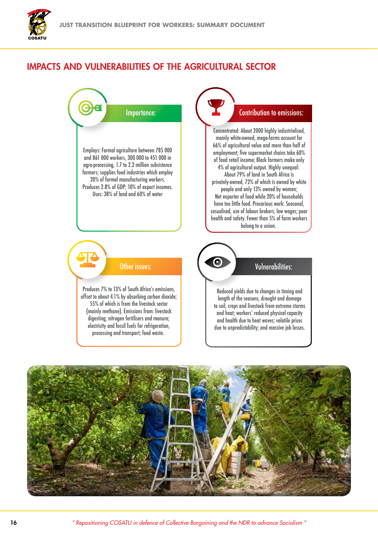

#### Impacts and vulnerabilities of the agricultural sector



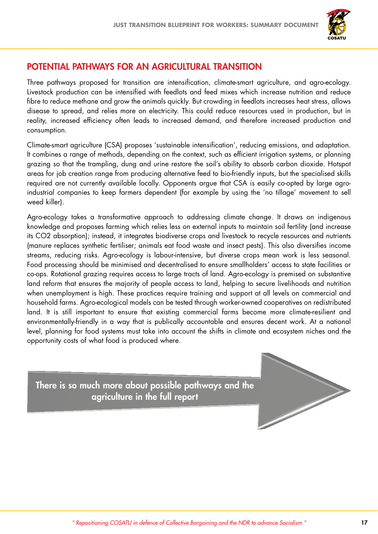

#### Potential pathways for an agricultural transition

Three pathways proposed for transition are intensification, climate-smart agriculture, and agro-ecology. Livestock production can be intensified with feedlots and feed mixes which increase nutrition and reduce fibre to reduce methane and grow the animals quickly. But crowding in feedlots increases heat stress, allows disease to spread, and relies more on electricity. This could reduce resources used in production, but in reality, increased efficiency often leads to increased demand, and therefore increased production and consumption.

Climate-smart agriculture (CSA) proposes 'sustainable intensification', reducing emissions, and adaptation. It combines a range of methods, depending on the context, such as efficient irrigation systems, or planning grazing so that the trampling, dung and urine restore the soil's ability to absorb carbon dioxide. Hotspot areas for job creation range from producing alternative feed to bio-friendly inputs, but the specialised skills required are not currently available locally. Opponents argue that CSA is easily co-opted by large agroindustrial companies to keep farmers dependent (for example by using the 'no tillage' movement to sell weed killer).

Agro-ecology takes a transformative approach to addressing climate change. It draws on indigenous knowledge and proposes farming which relies less on external inputs to maintain soil fertility (and increase its CO2 absorption); instead, it integrates biodiverse crops and livestock to recycle resources and nutrients (manure replaces synthetic fertiliser; animals eat food waste and insect pests). This also diversifies income streams, reducing risks. Agro-ecology is labour-intensive, but diverse crops mean work is less seasonal. Food processing should be minimised and decentralised to ensure smallholders' access to state facilities or co-ops. Rotational grazing requires access to large tracts of land. Agro-ecology is premised on substantive land reform that ensures the majority of people access to land, helping to secure livelihoods and nutrition when unemployment is high. These practices require training and support at all levels on commercial and household farms. Agro-ecological models can be tested through worker-owned cooperatives on redistributed land. It is still important to ensure that existing commercial farms become more climate-resilient and environmentally-friendly in a way that is publically accountable and ensures decent work. At a national level, planning for food systems must take into account the shifts in climate and ecosystem niches and the opportunity costs of what food is produced where.

There is so much more about possible pathways and the agriculture in the full report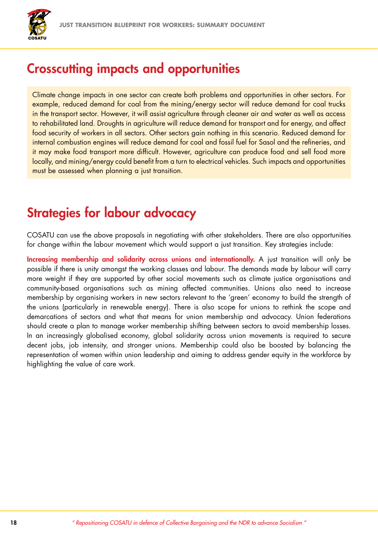

### Crosscutting impacts and opportunities

Climate change impacts in one sector can create both problems and opportunities in other sectors. For example, reduced demand for coal from the mining/energy sector will reduce demand for coal trucks in the transport sector. However, it will assist agriculture through cleaner air and water as well as access to rehabilitated land. Droughts in agriculture will reduce demand for transport and for energy, and affect food security of workers in all sectors. Other sectors gain nothing in this scenario. Reduced demand for internal combustion engines will reduce demand for coal and fossil fuel for Sasol and the refineries, and it may make food transport more difficult. However, agriculture can produce food and sell food more locally, and mining/energy could benefit from a turn to electrical vehicles. Such impacts and opportunities must be assessed when planning a just transition.

## Strategies for labour advocacy

COSATU can use the above proposals in negotiating with other stakeholders. There are also opportunities for change within the labour movement which would support a just transition. Key strategies include:

Increasing membership and solidarity across unions and internationally. A just transition will only be possible if there is unity amongst the working classes and labour. The demands made by labour will carry more weight if they are supported by other social movements such as climate justice organisations and community-based organisations such as mining affected communities. Unions also need to increase membership by organising workers in new sectors relevant to the 'green' economy to build the strength of the unions (particularly in renewable energy). There is also scope for unions to rethink the scope and demarcations of sectors and what that means for union membership and advocacy. Union federations should create a plan to manage worker membership shifting between sectors to avoid membership losses. In an increasingly globalised economy, global solidarity across union movements is required to secure decent jobs, job intensity, and stronger unions. Membership could also be boosted by balancing the representation of women within union leadership and aiming to address gender equity in the workforce by highlighting the value of care work.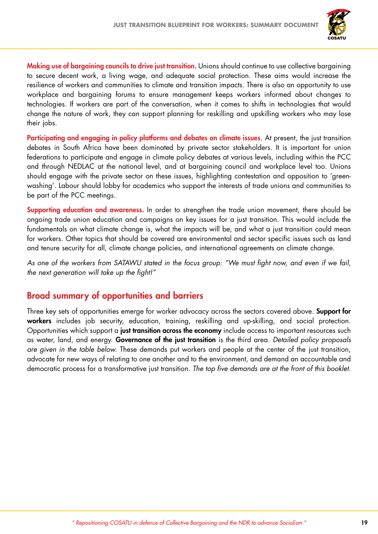

Making use of bargaining councils to drive just transition. Unions should continue to use collective bargaining to secure decent work, a living wage, and adequate social protection. These aims would increase the resilience of workers and communities to climate and transition impacts. There is also an opportunity to use workplace and bargaining forums to ensure management keeps workers informed about changes to technologies. If workers are part of the conversation, when it comes to shifts in technologies that would change the nature of work, they can support planning for reskilling and upskilling workers who may lose their jobs.

Participating and engaging in policy platforms and debates on climate issues. At present, the just transition debates in South Africa have been dominated by private sector stakeholders. It is important for union federations to participate and engage in climate policy debates at various levels, including within the PCC and through NEDLAC at the national level, and at bargaining council and workplace level too. Unions should engage with the private sector on these issues, highlighting contestation and opposition to 'greenwashing'. Labour should lobby for academics who support the interests of trade unions and communities to be part of the PCC meetings.

Supporting education and awareness. In order to strengthen the trade union movement, there should be ongoing trade union education and campaigns on key issues for a just transition. This would include the fundamentals on what climate change is, what the impacts will be, and what a just transition could mean for workers. Other topics that should be covered are environmental and sector specific issues such as land and tenure security for all, climate change policies, and international agreements on climate change.

*As one of the workers from SATAWU stated in the focus group: "We must fight now, and even if we fail, the next generation will take up the fight!"*

#### Broad summary of opportunities and barriers

Three key sets of opportunities emerge for worker advocacy across the sectors covered above. **Support for** workers includes job security, education, training, reskilling and up-skilling, and social protection. Opportunities which support a just transition across the economy include access to important resources such as water, land, and energy. Governance of the just transition is the third area. *Detailed policy proposals are given in the table below.* These demands put workers and people at the center of the just transition, advocate for new ways of relating to one another and to the environment, and demand an accountable and democratic process for a transformative just transition. *The top five demands are at the front of this booklet.*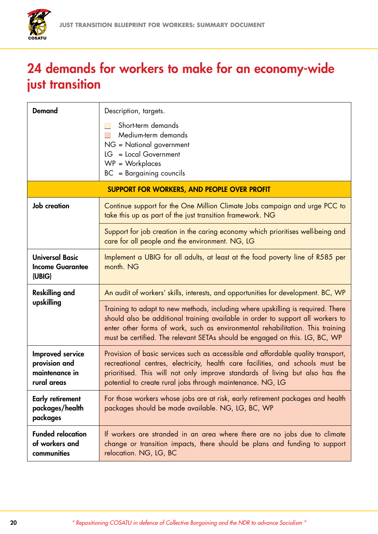

## 24 demands for workers to make for an economy-wide just transition

| <b>Demand</b>                                                      | Description, targets.                                                                                                                                                                                                                                                                                                               |  |
|--------------------------------------------------------------------|-------------------------------------------------------------------------------------------------------------------------------------------------------------------------------------------------------------------------------------------------------------------------------------------------------------------------------------|--|
|                                                                    | Short-term demands<br>Medium-term demands<br>NG = National government<br>LG = Local Government<br>$WP = Workplaces$<br>BC = Bargaining councils                                                                                                                                                                                     |  |
| <b>SUPPORT FOR WORKERS, AND PEOPLE OVER PROFIT</b>                 |                                                                                                                                                                                                                                                                                                                                     |  |
| <b>Job</b> creation                                                | Continue support for the One Million Climate Jobs campaign and urge PCC to<br>take this up as part of the just transition framework. NG                                                                                                                                                                                             |  |
|                                                                    | Support for job creation in the caring economy which prioritises well-being and<br>care for all people and the environment. NG, LG                                                                                                                                                                                                  |  |
| <b>Universal Basic</b><br><b>Income Guarantee</b><br>(UBIG)        | Implement a UBIG for all adults, at least at the food poverty line of R585 per<br>month. NG                                                                                                                                                                                                                                         |  |
| <b>Reskilling and</b><br>upskilling                                | An audit of workers' skills, interests, and opportunities for development. BC, WP                                                                                                                                                                                                                                                   |  |
|                                                                    | Training to adapt to new methods, including where upskilling is required. There<br>should also be additional training available in order to support all workers to<br>enter other forms of work, such as environmental rehabilitation. This training<br>must be certified. The relevant SETAs should be engaged on this. LG, BC, WP |  |
| Improved service<br>provision and<br>maintenance in<br>rural areas | Provision of basic services such as accessible and affordable quality transport,<br>recreational centres, electricity, health care facilities, and schools must be<br>prioritised. This will not only improve standards of living but also has the<br>potential to create rural jobs through maintenance. NG, LG                    |  |
| <b>Early retirement</b><br>packages/health<br>packages             | For those workers whose jobs are at risk, early retirement packages and health<br>packages should be made available. NG, LG, BC, WP                                                                                                                                                                                                 |  |
| <b>Funded relocation</b><br>of workers and<br>communities          | If workers are stranded in an area where there are no jobs due to climate<br>change or transition impacts, there should be plans and funding to support<br>relocation. NG, LG, BC                                                                                                                                                   |  |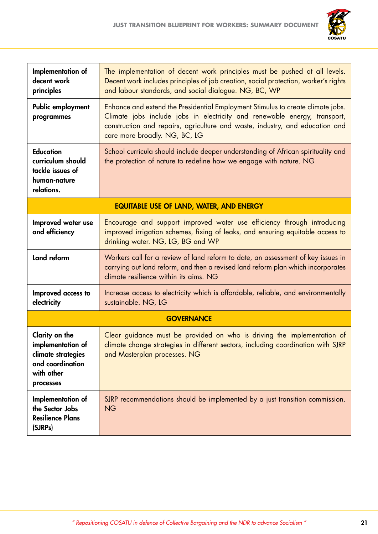

| Implementation of<br>decent work<br>principles                                                           | The implementation of decent work principles must be pushed at all levels.<br>Decent work includes principles of job creation, social protection, worker's rights<br>and labour standards, and social dialogue. NG, BC, WP                                                    |  |
|----------------------------------------------------------------------------------------------------------|-------------------------------------------------------------------------------------------------------------------------------------------------------------------------------------------------------------------------------------------------------------------------------|--|
| Public employment<br>programmes                                                                          | Enhance and extend the Presidential Employment Stimulus to create climate jobs.<br>Climate jobs include jobs in electricity and renewable energy, transport,<br>construction and repairs, agriculture and waste, industry, and education and<br>care more broadly. NG, BC, LG |  |
| <b>Education</b><br>curriculum should<br>tackle issues of<br>human-nature<br>relations.                  | School curricula should include deeper understanding of African spirituality and<br>the protection of nature to redefine how we engage with nature. NG                                                                                                                        |  |
| <b>EQUITABLE USE OF LAND, WATER, AND ENERGY</b>                                                          |                                                                                                                                                                                                                                                                               |  |
| Improved water use<br>and efficiency                                                                     | Encourage and support improved water use efficiency through introducing<br>improved irrigation schemes, fixing of leaks, and ensuring equitable access to<br>drinking water. NG, LG, BG and WP                                                                                |  |
| Land reform                                                                                              | Workers call for a review of land reform to date, an assessment of key issues in<br>carrying out land reform, and then a revised land reform plan which incorporates<br>climate resilience within its aims. NG                                                                |  |
| Improved access to<br>electricity                                                                        | Increase access to electricity which is affordable, reliable, and environmentally<br>sustainable. NG, LG                                                                                                                                                                      |  |
| <b>GOVERNANCE</b>                                                                                        |                                                                                                                                                                                                                                                                               |  |
| Clarity on the<br>implementation of<br>climate strategies<br>and coordination<br>with other<br>processes | Clear guidance must be provided on who is driving the implementation of<br>climate change strategies in different sectors, including coordination with SJRP<br>and Masterplan processes. NG                                                                                   |  |
| Implementation of<br>the Sector Jobs<br><b>Resilience Plans</b><br>(SJRPs)                               | SJRP recommendations should be implemented by a just transition commission.<br><b>NG</b>                                                                                                                                                                                      |  |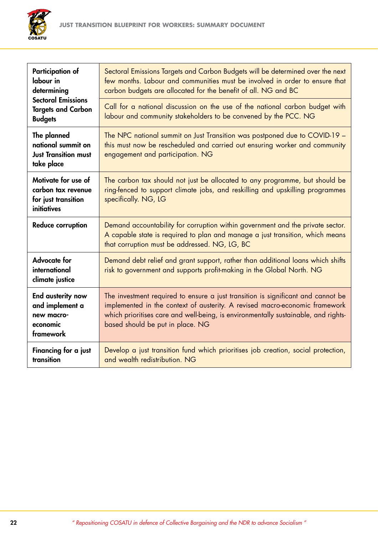

| <b>Participation of</b><br>labour in<br>determining<br><b>Sectoral Emissions</b><br><b>Targets and Carbon</b><br><b>Budgets</b> | Sectoral Emissions Targets and Carbon Budgets will be determined over the next<br>few months. Labour and communities must be involved in order to ensure that<br>carbon budgets are allocated for the benefit of all. NG and BC                                                           |
|---------------------------------------------------------------------------------------------------------------------------------|-------------------------------------------------------------------------------------------------------------------------------------------------------------------------------------------------------------------------------------------------------------------------------------------|
|                                                                                                                                 | Call for a national discussion on the use of the national carbon budget with<br>labour and community stakeholders to be convened by the PCC. NG                                                                                                                                           |
| The planned<br>national summit on<br><b>Just Transition must</b><br>take place                                                  | The NPC national summit on Just Transition was postponed due to COVID-19 -<br>this must now be rescheduled and carried out ensuring worker and community<br>engagement and participation. NG                                                                                              |
| Motivate for use of<br>carbon tax revenue<br>for just transition<br><i>initiatives</i>                                          | The carbon tax should not just be allocated to any programme, but should be<br>ring-fenced to support climate jobs, and reskilling and upskilling programmes<br>specifically. NG, LG                                                                                                      |
| <b>Reduce corruption</b>                                                                                                        | Demand accountability for corruption within government and the private sector.<br>A capable state is required to plan and manage a just transition, which means<br>that corruption must be addressed. NG, LG, BC                                                                          |
| <b>Advocate for</b><br>international<br>climate justice                                                                         | Demand debt relief and grant support, rather than additional loans which shifts<br>risk to government and supports profit-making in the Global North. NG                                                                                                                                  |
| End austerity now<br>and implement a<br>new macro-<br>economic<br>framework                                                     | The investment required to ensure a just transition is significant and cannot be<br>implemented in the context of austerity. A revised macro-economic framework<br>which prioritises care and well-being, is environmentally sustainable, and rights-<br>based should be put in place. NG |
| Financing for a just<br>transition                                                                                              | Develop a just transition fund which prioritises job creation, social protection,<br>and wealth redistribution. NG                                                                                                                                                                        |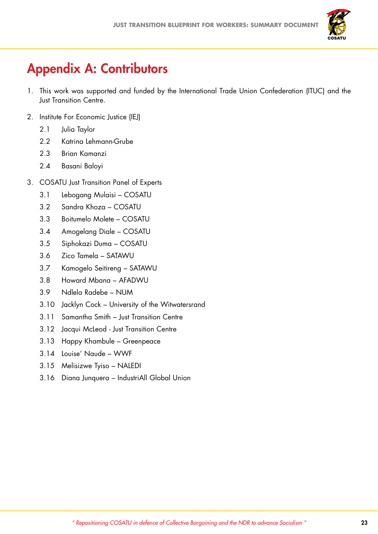

# Appendix A: Contributors

- 1. This work was supported and funded by the International Trade Union Confederation (ITUC) and the Just Transition Centre.
- 2. Institute For Economic Justice (IEJ)
	- 2.1 Julia Taylor
	- 2.2 Katrina Lehmann-Grube
	- 2.3 Brian Kamanzi
	- 2.4 Basani Baloyi
- 3. COSATU Just Transition Panel of Experts
	- 3.1 Lebogang Mulaisi COSATU
	- 3.2 Sandra Khoza COSATU
	- 3.3 Boitumelo Molete COSATU
	- 3.4 Amogelang Diale COSATU
	- 3.5 Siphokazi Duma COSATU
	- 3.6 Zico Tamela SATAWU
	- 3.7 Kamogelo Seitireng SATAWU
	- 3.8 Howard Mbana AFADWU
	- 3.9 Ndlela Radebe NUM
	- 3.10 Jacklyn Cock University of the Witwatersrand
	- 3.11 Samantha Smith Just Transition Centre
	- 3.12 Jacqui McLeod Just Transition Centre
	- 3.13 Happy Khambule Greenpeace
	- 3.14 Louise' Naude WWF
	- 3.15 Melisizwe Tyiso NALEDI
	- 3.16 Diana Junquera IndustriAll Global Union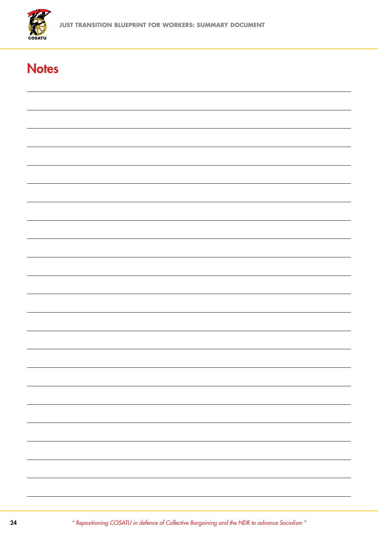

## **Notes**